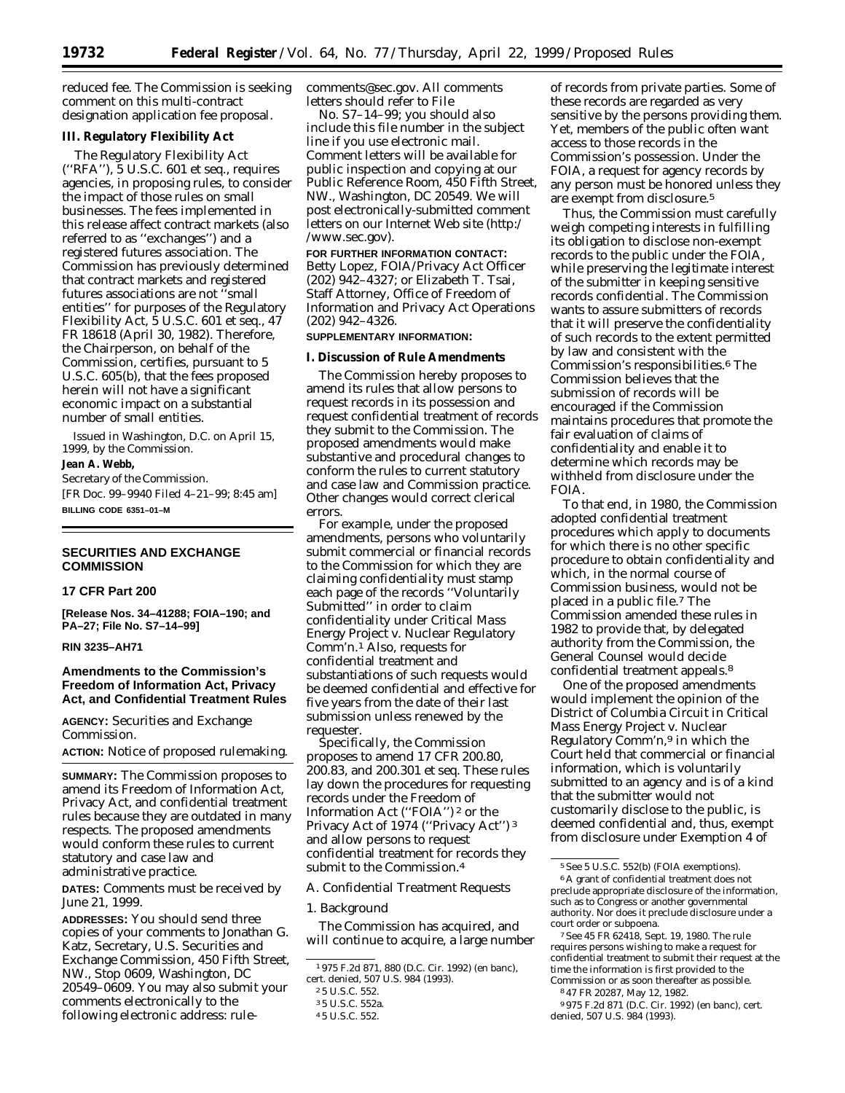reduced fee. The Commission is seeking comment on this multi-contract designation application fee proposal.

# **III. Regulatory Flexibility Act**

The Regulatory Flexibility Act (''RFA''), 5 U.S.C. 601 *et seq.,* requires agencies, in proposing rules, to consider the impact of those rules on small businesses. The fees implemented in this release affect contract markets (also referred to as ''exchanges'') and a registered futures association. The Commission has previously determined that contract markets and registered futures associations are not ''small entities'' for purposes of the Regulatory Flexibility Act, 5 U.S.C. 601 *et seq.,* 47 FR 18618 (April 30, 1982). Therefore, the Chairperson, on behalf of the Commission, certifies, pursuant to 5 U.S.C. 605(b), that the fees proposed herein will not have a significant economic impact on a substantial number of small entities.

Issued in Washington, D.C. on April 15, 1999, by the Commission.

# **Jean A. Webb,**

*Secretary of the Commission.* [FR Doc. 99–9940 Filed 4–21–99; 8:45 am] **BILLING CODE 6351–01–M**

# **SECURITIES AND EXCHANGE COMMISSION**

# **17 CFR Part 200**

**[Release Nos. 34–41288; FOIA–190; and PA–27; File No. S7–14–99]**

# **RIN 3235–AH71**

# **Amendments to the Commission's Freedom of Information Act, Privacy Act, and Confidential Treatment Rules**

**AGENCY:** Securities and Exchange Commission.

**ACTION:** Notice of proposed rulemaking.

**SUMMARY:** The Commission proposes to amend its Freedom of Information Act, Privacy Act, and confidential treatment rules because they are outdated in many respects. The proposed amendments would conform these rules to current statutory and case law and administrative practice.

**DATES:** Comments must be received by June 21, 1999.

**ADDRESSES:** You should send three copies of your comments to Jonathan G. Katz, Secretary, U.S. Securities and Exchange Commission, 450 Fifth Street, NW., Stop 0609, Washington, DC 20549–0609. You may also submit your comments electronically to the following electronic address: rulecomments@sec.gov. All comments letters should refer to File

No. S7–14–99; you should also include this file number in the subject line if you use electronic mail. Comment letters will be available for public inspection and copying at our Public Reference Room, 450 Fifth Street, NW., Washington, DC 20549. We will post electronically-submitted comment letters on our Internet Web site (http:/ /www.sec.gov).

**FOR FURTHER INFORMATION CONTACT:** Betty Lopez, FOIA/Privacy Act Officer (202) 942–4327; or Elizabeth T. Tsai, Staff Attorney, Office of Freedom of Information and Privacy Act Operations (202) 942–4326.

# **SUPPLEMENTARY INFORMATION:**

# **I. Discussion of Rule Amendments**

The Commission hereby proposes to amend its rules that allow persons to request records in its possession and request confidential treatment of records they submit to the Commission. The proposed amendments would make substantive and procedural changes to conform the rules to current statutory and case law and Commission practice. Other changes would correct clerical errors.

For example, under the proposed amendments, persons who voluntarily submit commercial or financial records to the Commission for which they are claiming confidentiality must stamp each page of the records ''Voluntarily Submitted'' in order to claim confidentiality under *Critical Mass Energy Project v. Nuclear Regulatory Comm'n.*1 Also, requests for confidential treatment and substantiations of such requests would be deemed confidential and effective for five years from the date of their last submission unless renewed by the requester.

Specifically, the Commission proposes to amend 17 CFR 200.80, 200.83, and 200.301 *et seq.* These rules lay down the procedures for requesting records under the Freedom of Information Act (''FOIA'') 2 or the Privacy Act of 1974 (''Privacy Act'') 3 and allow persons to request confidential treatment for records they submit to the Commission.4

*A. Confidential Treatment Requests*

#### 1. Background

The Commission has acquired, and will continue to acquire, a large number

of records from private parties. Some of these records are regarded as very sensitive by the persons providing them. Yet, members of the public often want access to those records in the Commission's possession. Under the FOIA, a request for agency records by any person must be honored unless they are exempt from disclosure.5

Thus, the Commission must carefully weigh competing interests in fulfilling its obligation to disclose non-exempt records to the public under the FOIA, while preserving the legitimate interest of the submitter in keeping sensitive records confidential. The Commission wants to assure submitters of records that it will preserve the confidentiality of such records to the extent permitted by law and consistent with the Commission's responsibilities.6 The Commission believes that the submission of records will be encouraged if the Commission maintains procedures that promote the fair evaluation of claims of confidentiality and enable it to determine which records may be withheld from disclosure under the FOIA.

To that end, in 1980, the Commission adopted confidential treatment procedures which apply to documents for which there is no other specific procedure to obtain confidentiality and which, in the normal course of Commission business, would not be placed in a public file.7 The Commission amended these rules in 1982 to provide that, by delegated authority from the Commission, the General Counsel would decide confidential treatment appeals.8

One of the proposed amendments would implement the opinion of the District of Columbia Circuit in *Critical Mass Energy Project v. Nuclear Regulatory Comm'n,*9 in which the Court held that commercial or financial information, which is voluntarily submitted to an agency and is of a kind that the submitter would not customarily disclose to the public, is deemed confidential and, thus, exempt from disclosure under Exemption 4 of

7*See* 45 FR 62418, Sept. 19, 1980. The rule requires persons wishing to make a request for confidential treatment to submit their request at the time the information is first provided to the Commission or as soon thereafter as possible.

<sup>1</sup> 975 F.2d 871, 880 (D.C. Cir. 1992) (*en banc*), *cert. denied*, 507 U.S. 984 (1993).

<sup>2</sup> 5 U.S.C. 552.

<sup>3</sup> 5 U.S.C. 552a.

<sup>4</sup> 5 U.S.C. 552.

<sup>5</sup>*See* 5 U.S.C. 552(b) (FOIA exemptions). 6A grant of confidential treatment does not

preclude appropriate disclosure of the information, such as to Congress or another governmental authority. Nor does it preclude disclosure under a court order or subpoena.

<sup>8</sup> 47 FR 20287, May 12, 1982.

<sup>9</sup> 975 F.2d 871 (D.C. Cir. 1992) (*en banc*), *cert. denied*, 507 U.S. 984 (1993).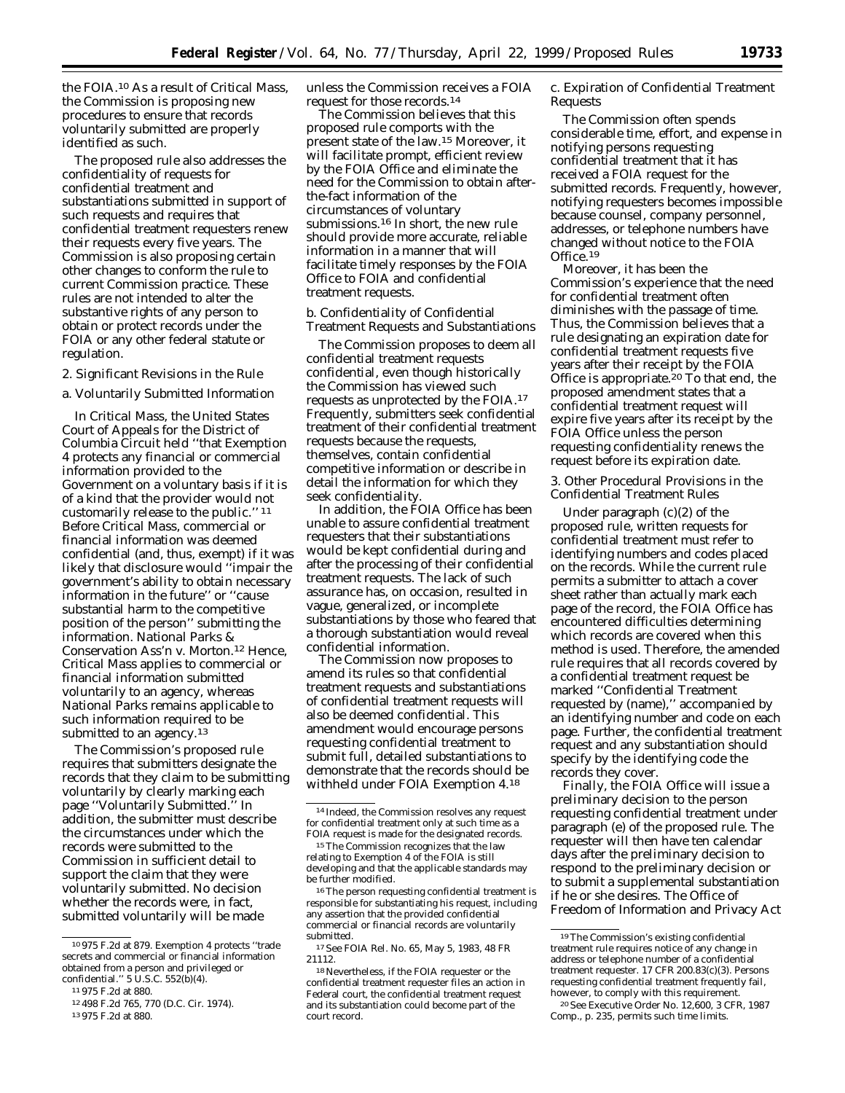the FOIA.10 As a result of *Critical Mass*, the Commission is proposing new procedures to ensure that records voluntarily submitted are properly identified as such.

The proposed rule also addresses the confidentiality of requests for confidential treatment and substantiations submitted in support of such requests and requires that confidential treatment requesters renew their requests every five years. The Commission is also proposing certain other changes to conform the rule to current Commission practice. These rules are not intended to alter the substantive rights of any person to obtain or protect records under the FOIA or any other federal statute or regulation.

2. Significant Revisions in the Rule

a. Voluntarily Submitted Information

In *Critical Mass*, the United States Court of Appeals for the District of Columbia Circuit held ''that Exemption 4 protects any financial or commercial information provided to the Government on a voluntary basis if it is of a kind that the provider would not customarily release to the public.'' 11 Before *Critical Mass*, commercial or financial information was deemed confidential (and, thus, exempt) if it was likely that disclosure would ''impair the government's ability to obtain necessary information in the future'' or ''cause substantial harm to the competitive position of the person'' submitting the information. *National Parks & Conservation Ass'n v. Morton*.12 Hence, *Critical Mass* applies to commercial or financial information submitted voluntarily to an agency, whereas *National Parks* remains applicable to such information required to be submitted to an agency.<sup>13</sup>

The Commission's proposed rule requires that submitters designate the records that they claim to be submitting voluntarily by clearly marking each page ''Voluntarily Submitted.'' In addition, the submitter must describe the circumstances under which the records were submitted to the Commission in sufficient detail to support the claim that they were voluntarily submitted. No decision whether the records were, in fact, submitted voluntarily will be made

unless the Commission receives a FOIA request for those records.14

The Commission believes that this proposed rule comports with the present state of the law.15 Moreover, it will facilitate prompt, efficient review by the FOIA Office and eliminate the need for the Commission to obtain afterthe-fact information of the circumstances of voluntary submissions.16 In short, the new rule should provide more accurate, reliable information in a manner that will facilitate timely responses by the FOIA Office to FOIA and confidential treatment requests.

b. Confidentiality of Confidential Treatment Requests and Substantiations

The Commission proposes to deem all confidential treatment requests confidential, even though historically the Commission has viewed such requests as unprotected by the FOIA.17 Frequently, submitters seek confidential treatment of their confidential treatment requests because the requests, themselves, contain confidential competitive information or describe in detail the information for which they seek confidentiality.

In addition, the FOIA Office has been unable to assure confidential treatment requesters that their substantiations would be kept confidential during and after the processing of their confidential treatment requests. The lack of such assurance has, on occasion, resulted in vague, generalized, or incomplete substantiations by those who feared that a thorough substantiation would reveal confidential information.

The Commission now proposes to amend its rules so that confidential treatment requests and substantiations of confidential treatment requests will also be deemed confidential. This amendment would encourage persons requesting confidential treatment to submit full, detailed substantiations to demonstrate that the records should be withheld under FOIA Exemption 4.18

16The person requesting confidential treatment is responsible for substantiating his request, including any assertion that the provided confidential commercial or financial records are voluntarily submitted.

17*See* FOIA Rel. No. 65, May 5, 1983, 48 FR 21112.

c. Expiration of Confidential Treatment Requests

The Commission often spends considerable time, effort, and expense in notifying persons requesting confidential treatment that it has received a FOIA request for the submitted records. Frequently, however, notifying requesters becomes impossible because counsel, company personnel, addresses, or telephone numbers have changed without notice to the FOIA Office.<sup>19</sup>

Moreover, it has been the Commission's experience that the need for confidential treatment often diminishes with the passage of time. Thus, the Commission believes that a rule designating an expiration date for confidential treatment requests five years after their receipt by the FOIA Office is appropriate.<sup>20</sup> To that end, the proposed amendment states that a confidential treatment request will expire five years after its receipt by the FOIA Office unless the person requesting confidentiality renews the request before its expiration date.

3. Other Procedural Provisions in the Confidential Treatment Rules

Under paragraph (c)(2) of the proposed rule, written requests for confidential treatment must refer to identifying numbers and codes placed on the records. While the current rule permits a submitter to attach a cover sheet rather than actually mark each page of the record, the FOIA Office has encountered difficulties determining which records are covered when this method is used. Therefore, the amended rule requires that all records covered by a confidential treatment request be marked ''Confidential Treatment requested by (name),'' accompanied by an identifying number and code on each page. Further, the confidential treatment request and any substantiation should specify by the identifying code the records they cover.

Finally, the FOIA Office will issue a preliminary decision to the person requesting confidential treatment under paragraph (e) of the proposed rule. The requester will then have ten calendar days after the preliminary decision to respond to the preliminary decision or to submit a supplemental substantiation if he or she desires. The Office of Freedom of Information and Privacy Act

<sup>10</sup> 975 F.2d at 879. Exemption 4 protects ''trade secrets and commercial or financial information obtained from a person and privileged or confidential."  $5 \text{ U.S.C. } 552 \text{ (b)} (4)$ .

<sup>11</sup> 975 F.2d at 880.

<sup>12</sup> 498 F.2d 765, 770 (D.C. Cir. 1974).

<sup>13</sup> 975 F.2d at 880.

<sup>14</sup> Indeed, the Commission resolves any request for confidential treatment only at such time as a FOIA request is made for the designated records.

<sup>15</sup>The Commission recognizes that the law relating to Exemption 4 of the FOIA is still developing and that the applicable standards may be further modified.

<sup>18</sup>Nevertheless, if the FOIA requester or the confidential treatment requester files an action in Federal court, the confidential treatment request and its substantiation could become part of the court record.

<sup>19</sup>The Commission's existing confidential treatment rule requires notice of any change in address or telephone number of a confidential treatment requester. 17 CFR 200.83(c)(3). Persons requesting confidential treatment frequently fail, however, to comply with this requirement.

<sup>20</sup>*See* Executive Order No. 12,600, 3 CFR, 1987 Comp., p. 235, permits such time limits.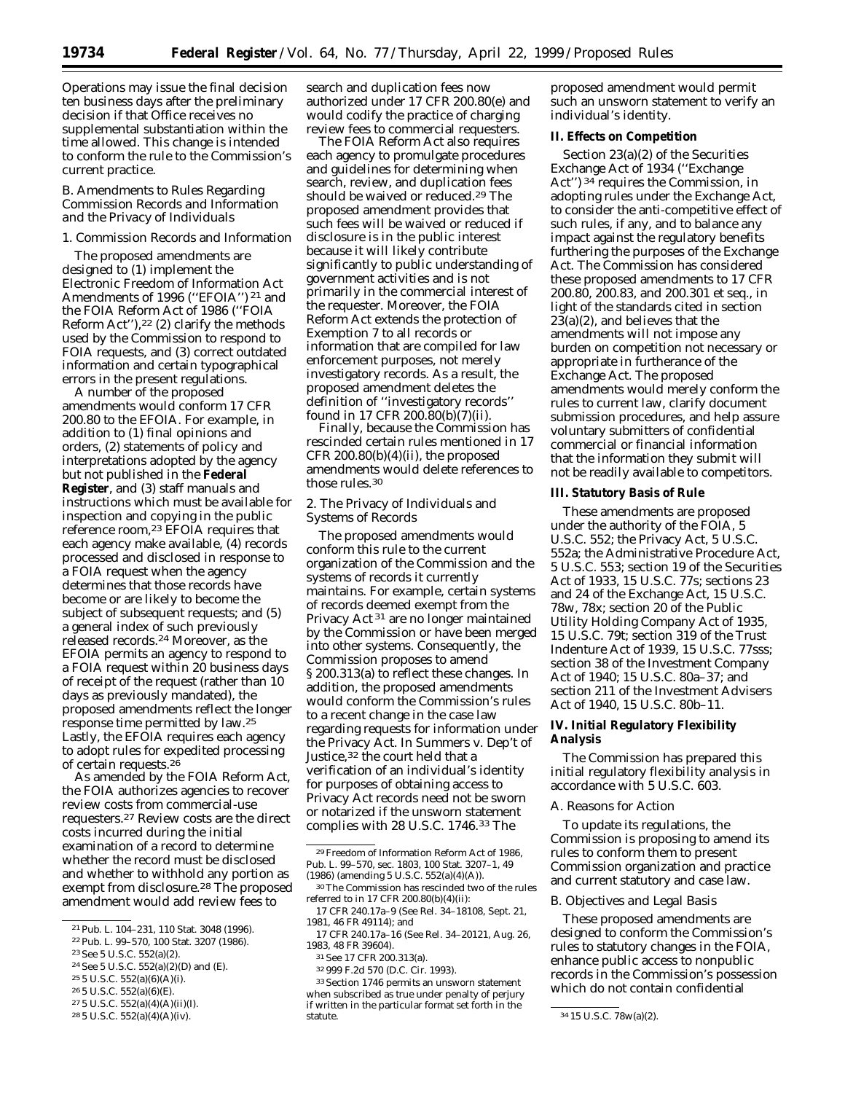Operations may issue the final decision ten business days after the preliminary decision if that Office receives no supplemental substantiation within the time allowed. This change is intended to conform the rule to the Commission's current practice.

# *B. Amendments to Rules Regarding Commission Records and Information and the Privacy of Individuals*

# 1. Commission Records and Information

The proposed amendments are designed to (1) implement the Electronic Freedom of Information Act Amendments of 1996 ("EFOIA")<sup>21</sup> and the FOIA Reform Act of 1986 (''FOIA Reform Act"),<sup>22</sup> (2) clarify the methods used by the Commission to respond to FOIA requests, and (3) correct outdated information and certain typographical errors in the present regulations.

A number of the proposed amendments would conform 17 CFR 200.80 to the EFOIA. For example, in addition to (1) final opinions and orders, (2) statements of policy and interpretations adopted by the agency but not published in the **Federal Register**, and (3) staff manuals and instructions which must be available for inspection and copying in the public reference room,<sup>23</sup> EFOIA requires that each agency make available, (4) records processed and disclosed in response to a FOIA request when the agency determines that those records have become or are likely to become the subject of subsequent requests; and (5) a general index of such previously released records.24 Moreover, as the EFOIA permits an agency to respond to a FOIA request within 20 business days of receipt of the request (rather than 10 days as previously mandated), the proposed amendments reflect the longer response time permitted by law.25 Lastly, the EFOIA requires each agency to adopt rules for expedited processing of certain requests.26

As amended by the FOIA Reform Act, the FOIA authorizes agencies to recover review costs from commercial-use requesters.27 Review costs are the direct costs incurred during the initial examination of a record to determine whether the record must be disclosed and whether to withhold any portion as exempt from disclosure.28 The proposed amendment would add review fees to

- 24*See* 5 U.S.C. 552(a)(2)(D) and (E).
- 25 5 U.S.C. 552(a)(6)(A)(i).
- 26 5 U.S.C. 552(a)(6)(E).
- 27 5 U.S.C. 552(a)(4)(A)(ii)(I).
- 28 5 U.S.C. 552(a)(4)(A)(iv).

search and duplication fees now authorized under 17 CFR 200.80(e) and would codify the practice of charging review fees to commercial requesters.

The FOIA Reform Act also requires each agency to promulgate procedures and guidelines for determining when search, review, and duplication fees should be waived or reduced.29 The proposed amendment provides that such fees will be waived or reduced if disclosure is in the public interest because it will likely contribute significantly to public understanding of government activities and is not primarily in the commercial interest of the requester. Moreover, the FOIA Reform Act extends the protection of Exemption 7 to all records or information that are compiled for law enforcement purposes, not merely investigatory records. As a result, the proposed amendment deletes the definition of ''investigatory records'' found in 17 CFR 200.80(b)(7)(ii).

Finally, because the Commission has rescinded certain rules mentioned in 17 CFR 200.80(b)(4)(ii), the proposed amendments would delete references to those rules.30

2. The Privacy of Individuals and Systems of Records

The proposed amendments would conform this rule to the current organization of the Commission and the systems of records it currently maintains. For example, certain systems of records deemed exempt from the Privacy Act 31 are no longer maintained by the Commission or have been merged into other systems. Consequently, the Commission proposes to amend § 200.313(a) to reflect these changes. In addition, the proposed amendments would conform the Commission's rules to a recent change in the case law regarding requests for information under the Privacy Act. In *Summers* v. *Dep't of* Justice,<sup>32</sup> the court held that a verification of an individual's identity for purposes of obtaining access to Privacy Act records need not be sworn or notarized if the unsworn statement complies with 28 U.S.C. 1746.33 The

proposed amendment would permit such an unsworn statement to verify an individual's identity.

## **II. Effects on Competition**

Section 23(a)(2) of the Securities Exchange Act of 1934 (''Exchange Act'') 34 requires the Commission, in adopting rules under the Exchange Act, to consider the anti-competitive effect of such rules, if any, and to balance any impact against the regulatory benefits furthering the purposes of the Exchange Act. The Commission has considered these proposed amendments to 17 CFR 200.80, 200.83, and 200.301 *et seq.*, in light of the standards cited in section 23(a)(2), and believes that the amendments will not impose any burden on competition not necessary or appropriate in furtherance of the Exchange Act. The proposed amendments would merely conform the rules to current law, clarify document submission procedures, and help assure voluntary submitters of confidential commercial or financial information that the information they submit will not be readily available to competitors.

#### **III. Statutory Basis of Rule**

These amendments are proposed under the authority of the FOIA, 5 U.S.C. 552; the Privacy Act, 5 U.S.C. 552a; the Administrative Procedure Act, 5 U.S.C. 553; section 19 of the Securities Act of 1933, 15 U.S.C. 77s; sections 23 and 24 of the Exchange Act, 15 U.S.C. 78w, 78x; section 20 of the Public Utility Holding Company Act of 1935, 15 U.S.C. 79t; section 319 of the Trust Indenture Act of 1939, 15 U.S.C. 77sss; section 38 of the Investment Company Act of 1940; 15 U.S.C. 80a–37; and section 211 of the Investment Advisers Act of 1940, 15 U.S.C. 80b–11.

# **IV. Initial Regulatory Flexibility Analysis**

The Commission has prepared this initial regulatory flexibility analysis in accordance with 5 U.S.C. 603.

# *A. Reasons for Action*

To update its regulations, the Commission is proposing to amend its rules to conform them to present Commission organization and practice and current statutory and case law.

#### *B. Objectives and Legal Basis*

These proposed amendments are designed to conform the Commission's rules to statutory changes in the FOIA, enhance public access to nonpublic records in the Commission's possession which do not contain confidential

<sup>21</sup>Pub. L. 104–231, 110 Stat. 3048 (1996).

<sup>22</sup>Pub. L. 99–570, 100 Stat. 3207 (1986).

<sup>23</sup>*See* 5 U.S.C. 552(a)(2).

<sup>29</sup>Freedom of Information Reform Act of 1986, Pub. L. 99–570, sec. 1803, 100 Stat. 3207–1, 49 (1986) (amending 5 U.S.C. 552(a)(4)(A)).

<sup>30</sup>The Commission has rescinded two of the rules referred to in 17 CFR 200.80(b)(4)(ii):

<sup>17</sup> CFR 240.17a–9 (*See* Rel. 34–18108, Sept. 21, 1981, 46 FR 49114); and

<sup>17</sup> CFR 240.17a–16 (*See* Rel. 34–20121, Aug. 26, 1983, 48 FR 39604).

<sup>31</sup>*See* 17 CFR 200.313(a).

<sup>32</sup> 999 F.2d 570 (D.C. Cir. 1993).

<sup>33</sup>Section 1746 permits an unsworn statement when subscribed as true under penalty of perjury if written in the particular format set forth in the

<sup>34 15</sup> U.S.C. 78w(a)(2).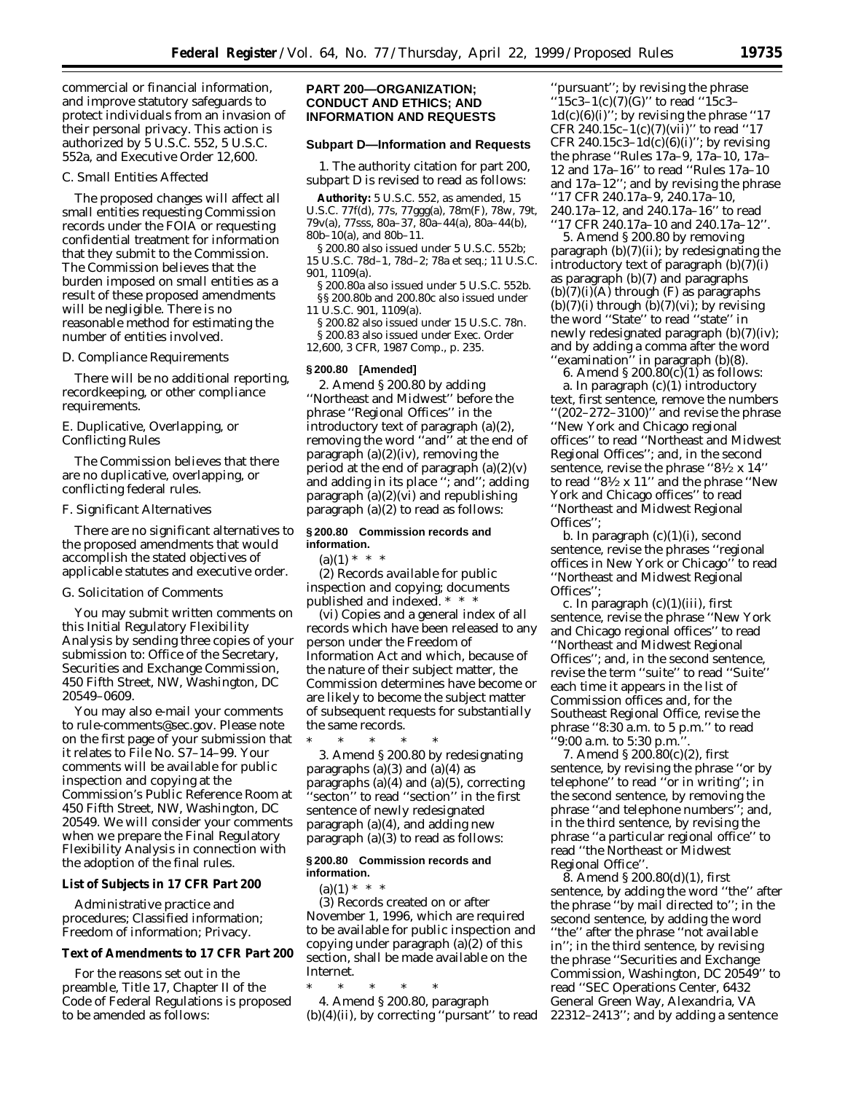commercial or financial information, and improve statutory safeguards to protect individuals from an invasion of their personal privacy. This action is authorized by 5 U.S.C. 552, 5 U.S.C. 552a, and Executive Order 12,600.

#### *C. Small Entities Affected*

The proposed changes will affect all small entities requesting Commission records under the FOIA or requesting confidential treatment for information that they submit to the Commission. The Commission believes that the burden imposed on small entities as a result of these proposed amendments will be negligible. There is no reasonable method for estimating the number of entities involved.

#### *D. Compliance Requirements*

There will be no additional reporting, recordkeeping, or other compliance requirements.

## *E. Duplicative, Overlapping, or Conflicting Rules*

The Commission believes that there are no duplicative, overlapping, or conflicting federal rules.

#### *F. Significant Alternatives*

There are no significant alternatives to the proposed amendments that would accomplish the stated objectives of applicable statutes and executive order.

## *G. Solicitation of Comments*

You may submit written comments on this Initial Regulatory Flexibility Analysis by sending three copies of your submission to: Office of the Secretary, Securities and Exchange Commission, 450 Fifth Street, NW, Washington, DC 20549–0609.

You may also e-mail your comments to rule-comments@sec.gov. Please note on the first page of your submission that it relates to File No. S7–14–99. Your comments will be available for public inspection and copying at the Commission's Public Reference Room at 450 Fifth Street, NW, Washington, DC 20549. We will consider your comments when we prepare the Final Regulatory Flexibility Analysis in connection with the adoption of the final rules.

#### **List of Subjects in 17 CFR Part 200**

Administrative practice and procedures; Classified information; Freedom of information; Privacy.

# **Text of Amendments to 17 CFR Part 200**

For the reasons set out in the preamble, Title 17, Chapter II of the Code of Federal Regulations is proposed to be amended as follows:

# **PART 200—ORGANIZATION; CONDUCT AND ETHICS; AND INFORMATION AND REQUESTS**

#### **Subpart D—Information and Requests**

1. The authority citation for part 200, subpart D is revised to read as follows:

**Authority:** 5 U.S.C. 552, as amended, 15 U.S.C. 77f(d), 77s, 77ggg(a), 78m(F), 78w, 79t, 79v(a), 77sss, 80a–37, 80a–44(a), 80a–44(b), 80b–10(a), and 80b–11.

§ 200.80 also issued under 5 U.S.C. 552b; 15 U.S.C. 78d–1, 78d–2; 78a *et seq.*; 11 U.S.C. 901, 1109(a).

§ 200.80a also issued under 5 U.S.C. 552b. §§ 200.80b and 200.80c also issued under 11 U.S.C. 901, 1109(a).

§ 200.82 also issued under 15 U.S.C. 78n. § 200.83 also issued under Exec. Order 12,600, 3 CFR, 1987 Comp., p. 235.

#### **§ 200.80 [Amended]**

2. Amend § 200.80 by adding ''Northeast and Midwest'' before the phrase ''Regional Offices'' in the introductory text of paragraph (a)(2), removing the word ''and'' at the end of paragraph  $(a)(2)(iv)$ , removing the period at the end of paragraph  $(a)(2)(v)$ and adding in its place ''; and''; adding paragraph (a)(2)(vi) and republishing paragraph  $(a)(2)$  to read as follows:

# **§ 200.80 Commission records and information.**

 $(a)(1) * * * *$ 

(2) *Records available for public inspection and copying; documents published and indexed.* \* \* \*

(vi) Copies and a general index of all records which have been released to any person under the Freedom of Information Act and which, because of the nature of their subject matter, the Commission determines have become or are likely to become the subject matter of subsequent requests for substantially the same records.

\* \* \* \* \* 3. Amend § 200.80 by redesignating paragraphs  $(a)(3)$  and  $(a)(4)$  as paragraphs (a) $(4)$  and (a) $(5)$ , correcting 'secton'' to read "section" in the first sentence of newly redesignated paragraph  $(a)(4)$ , and adding new paragraph (a)(3) to read as follows:

### **§ 200.80 Commission records and information.**

 $(a)(1) * * * *$ 

(3) Records created on or after November 1, 1996, which are required to be available for public inspection and copying under paragraph (a)(2) of this section, shall be made available on the Internet.

\* \* \* \* \*

4. Amend § 200.80, paragraph  $(b)(4)(ii)$ , by correcting "pursant" to read

"pursuant"; by revising the phrase ''15c3–1(c)(7)(G)'' to read ''15c3–  $1d(c)(6)(i)$ "; by revising the phrase "17 CFR 240.15c-1(c)(7)(vii)" to read "17 CFR 240.15c3-1d(c)(6)(i)"; by revising the phrase ''Rules 17a–9, 17a–10, 17a– 12 and 17a–16'' to read ''Rules 17a–10 and 17a–12''; and by revising the phrase ''17 CFR 240.17a–9, 240.17a–10, 240.17a–12, and 240.17a–16'' to read ''17 CFR 240.17a–10 and 240.17a–12''.

5. Amend § 200.80 by removing paragraph (b)(7)(ii); by redesignating the introductory text of paragraph (b)(7)(i) as paragraph (b)(7) and paragraphs  $(b)(7)(i)(A)$  through  $(F)$  as paragraphs  $(b)(7)(i)$  through  $(b)(7)(vi)$ ; by revising the word ''State'' to read ''state'' in newly redesignated paragraph (b)(7)(iv); and by adding a comma after the word ''examination'' in paragraph (b)(8).

6. Amend  $\S 200.80(c)(1)$  as follows:

a. In paragraph  $(c)(1)$  introductory text, first sentence, remove the numbers ''(202–272–3100)'' and revise the phrase ''New York and Chicago regional offices'' to read ''Northeast and Midwest Regional Offices''; and, in the second sentence, revise the phrase " $8\frac{1}{2}$  x 14" to read " $8\frac{1}{2}$  x 11" and the phrase "New York and Chicago offices'' to read ''Northeast and Midwest Regional Offices'';

b. In paragraph (c)(1)(i), second sentence, revise the phrases ''regional offices in New York or Chicago'' to read ''Northeast and Midwest Regional Offices'';

c. In paragraph  $(c)(1)(iii)$ , first sentence, revise the phrase ''New York and Chicago regional offices'' to read ''Northeast and Midwest Regional Offices''; and, in the second sentence, revise the term ''suite'' to read ''Suite'' each time it appears in the list of Commission offices and, for the Southeast Regional Office, revise the phrase ''8:30 a.m. to 5 p.m.'' to read  $'9:00$  a.m. to  $5:30$  p.m.

7. Amend § 200.80(c)(2), first sentence, by revising the phrase ''or by telephone'' to read ''or in writing''; in the second sentence, by removing the phrase ''and telephone numbers''; and, in the third sentence, by revising the phrase ''a particular regional office'' to read ''the Northeast or Midwest Regional Office''.

8. Amend § 200.80(d)(1), first sentence, by adding the word ''the'' after the phrase ''by mail directed to''; in the second sentence, by adding the word ''the'' after the phrase ''not available in''; in the third sentence, by revising the phrase ''Securities and Exchange Commission, Washington, DC 20549'' to read ''SEC Operations Center, 6432 General Green Way, Alexandria, VA 22312–2413''; and by adding a sentence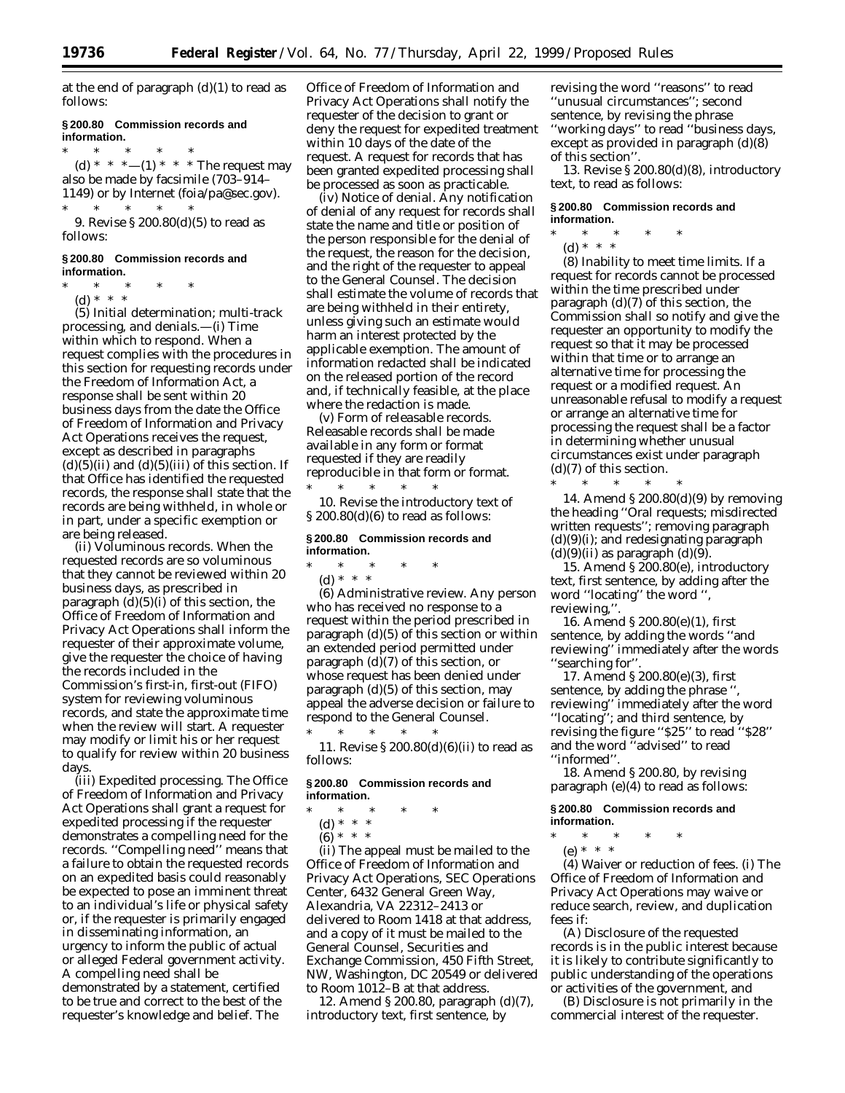at the end of paragraph  $(d)(1)$  to read as follows:

#### **§ 200.80 Commission records and information.**

\* \* \* \* \* (d) \* \* \*--(1) \* \* \* The request may also be made by facsimile (703–914– 1149) or by Internet (foia/pa@sec.gov). \* \* \* \* \*

9. Revise § 200.80(d)(5) to read as follows:

#### **§ 200.80 Commission records and information.**

- \* \* \* \* \*
	- (d) \* \* \*

(5) *Initial determination; multi-track processing, and denials.—(i) Time within which to respond.* When a request complies with the procedures in this section for requesting records under the Freedom of Information Act, a response shall be sent within 20 business days from the date the Office of Freedom of Information and Privacy Act Operations receives the request, except as described in paragraphs  $(d)(5)(ii)$  and  $(d)(5)(iii)$  of this section. If that Office has identified the requested records, the response shall state that the records are being withheld, in whole or in part, under a specific exemption or are being released.

(ii) *Voluminous records.* When the requested records are so voluminous that they cannot be reviewed within 20 business days, as prescribed in paragraph  $(d)(5)(i)$  of this section, the Office of Freedom of Information and Privacy Act Operations shall inform the requester of their approximate volume, give the requester the choice of having the records included in the Commission's first-in, first-out (FIFO) system for reviewing voluminous records, and state the approximate time when the review will start. A requester may modify or limit his or her request to qualify for review within 20 business days.

(iii) *Expedited processing.* The Office of Freedom of Information and Privacy Act Operations shall grant a request for expedited processing if the requester demonstrates a compelling need for the records. ''Compelling need'' means that a failure to obtain the requested records on an expedited basis could reasonably be expected to pose an imminent threat to an individual's life or physical safety or, if the requester is primarily engaged in disseminating information, an urgency to inform the public of actual or alleged Federal government activity. A compelling need shall be

demonstrated by a statement, certified to be true and correct to the best of the requester's knowledge and belief. The

Office of Freedom of Information and Privacy Act Operations shall notify the requester of the decision to grant or deny the request for expedited treatment within 10 days of the date of the request. A request for records that has been granted expedited processing shall be processed as soon as practicable.

(iv) *Notice of denial.* Any notification of denial of any request for records shall state the name and title or position of the person responsible for the denial of the request, the reason for the decision, and the right of the requester to appeal to the General Counsel. The decision shall estimate the volume of records that are being withheld in their entirety, unless giving such an estimate would harm an interest protected by the applicable exemption. The amount of information redacted shall be indicated on the released portion of the record and, if technically feasible, at the place where the redaction is made.

(v) *Form of releasable records.* Releasable records shall be made available in any form or format requested if they are readily reproducible in that form or format. \* \* \* \* \*

10. Revise the introductory text of § 200.80(d)(6) to read as follows:

#### **§ 200.80 Commission records and information.**

\* \* \* \* \*

(d) \* \* \*

(6) *Administrative review.* Any person who has received no response to a request within the period prescribed in paragraph (d)(5) of this section or within an extended period permitted under paragraph (d)(7) of this section, or whose request has been denied under paragraph (d)(5) of this section, may appeal the adverse decision or failure to respond to the General Counsel. \* \* \* \* \*

11. Revise § 200.80(d)(6)(ii) to read as follows:

#### **§ 200.80 Commission records and information.**

- \* \* \* \* \*
	- (d) \* \* \*
	- $(6) * * * *$

(ii) The appeal must be mailed to the Office of Freedom of Information and Privacy Act Operations, SEC Operations Center, 6432 General Green Way, Alexandria, VA 22312–2413 or delivered to Room 1418 at that address, and a copy of it must be mailed to the General Counsel, Securities and Exchange Commission, 450 Fifth Street, NW, Washington, DC 20549 or delivered to Room 1012–B at that address.

12. Amend § 200.80, paragraph (d)(7), introductory text, first sentence, by

revising the word ''reasons'' to read ''unusual circumstances''; second sentence, by revising the phrase ''working days'' to read ''business days, except as provided in paragraph (d)(8) of this section''.

13. Revise § 200.80(d)(8), introductory text, to read as follows:

#### **§ 200.80 Commission records and information.**

- \* \* \* \* \*
- (d) \* \* \*

(8) *Inability to meet time limits.* If a request for records cannot be processed within the time prescribed under paragraph (d)(7) of this section, the Commission shall so notify and give the requester an opportunity to modify the request so that it may be processed within that time or to arrange an alternative time for processing the request or a modified request. An unreasonable refusal to modify a request or arrange an alternative time for processing the request shall be a factor in determining whether unusual circumstances exist under paragraph (d)(7) of this section.

\* \* \* \* \* 14. Amend § 200.80(d)(9) by removing the heading ''*Oral requests; misdirected written requests*''; removing paragraph (d)(9)(i); and redesignating paragraph  $(d)(9)(ii)$  as paragraph  $(d)(9)$ .

15. Amend § 200.80(e), introductory text, first sentence, by adding after the word ''locating'' the word '', reviewing,''.

16. Amend § 200.80(e)(1), first sentence, by adding the words ''and reviewing'' immediately after the words 'searching for".

17. Amend § 200.80(e)(3), first sentence, by adding the phrase " reviewing'' immediately after the word ''locating''; and third sentence, by revising the figure ''\$25'' to read ''\$28'' and the word ''advised'' to read ''informed''.

18. Amend § 200.80, by revising paragraph (e)(4) to read as follows:

**§ 200.80 Commission records and information.**

- \* \* \* \* \*
	- (e) \* \* \*

(4) *Waiver or reduction of fees.* (i) The Office of Freedom of Information and Privacy Act Operations may waive or reduce search, review, and duplication fees if:

(A) Disclosure of the requested records is in the public interest because it is likely to contribute significantly to public understanding of the operations or activities of the government, and

(B) Disclosure is not primarily in the commercial interest of the requester.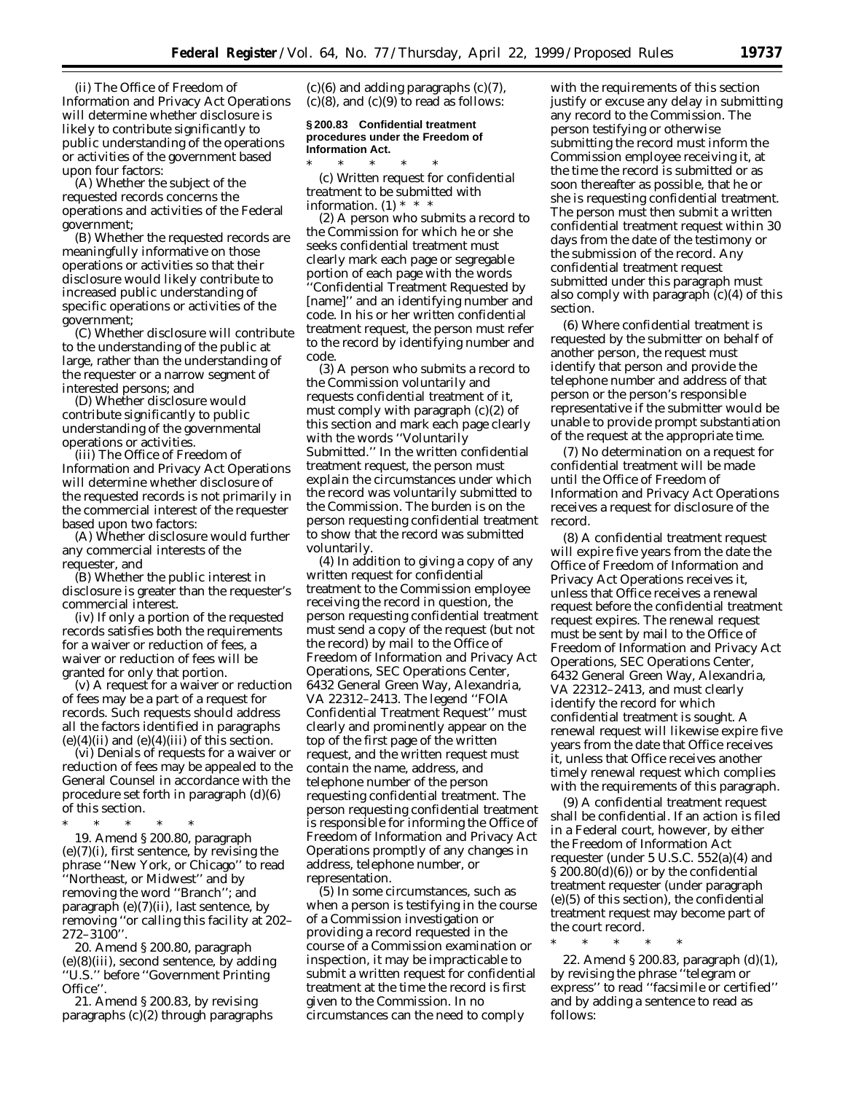(ii) The Office of Freedom of Information and Privacy Act Operations will determine whether disclosure is likely to contribute significantly to public understanding of the operations or activities of the government based upon four factors:

(A) Whether the subject of the requested records concerns the operations and activities of the Federal government;

(B) Whether the requested records are meaningfully informative on those operations or activities so that their disclosure would likely contribute to increased public understanding of specific operations or activities of the government;

(C) Whether disclosure will contribute to the understanding of the public at large, rather than the understanding of the requester or a narrow segment of interested persons; and

(D) Whether disclosure would contribute significantly to public understanding of the governmental operations or activities.

(iii) The Office of Freedom of Information and Privacy Act Operations will determine whether disclosure of the requested records is not primarily in the commercial interest of the requester based upon two factors:

(A) Whether disclosure would further any commercial interests of the requester, and

(B) Whether the public interest in disclosure is greater than the requester's commercial interest.

(iv) If only a portion of the requested records satisfies both the requirements for a waiver or reduction of fees, a waiver or reduction of fees will be granted for only that portion.

(v) A request for a waiver or reduction of fees may be a part of a request for records. Such requests should address all the factors identified in paragraphs  $(e)(4)(ii)$  and  $(e)(4)(iii)$  of this section.

(vi) Denials of requests for a waiver or reduction of fees may be appealed to the General Counsel in accordance with the procedure set forth in paragraph (d)(6) of this section.

\* \* \* \* \*

19. Amend § 200.80, paragraph  $(e)(7)(i)$ , first sentence, by revising the phrase ''New York, or Chicago'' to read ''Northeast, or Midwest'' and by removing the word ''Branch''; and paragraph (e)(7)(ii), last sentence, by removing ''or calling this facility at 202– 272–3100''.

20. Amend § 200.80, paragraph (e)(8)(iii), second sentence, by adding ''U.S.'' before ''Government Printing Office''.

21. Amend § 200.83, by revising paragraphs (c)(2) through paragraphs  $(c)(6)$  and adding paragraphs  $(c)(7)$ ,  $(c)(8)$ , and  $(c)(9)$  to read as follows:

## **§ 200.83 Confidential treatment procedures under the Freedom of Information Act.**

\* \* \* \* \* (c) *Written request for confidential treatment to be submitted with information.* (1) \* \* \*

(2) A person who submits a record to the Commission for which he or she seeks confidential treatment must clearly mark each page or segregable portion of each page with the words ''Confidential Treatment Requested by [name]'' and an identifying number and code. In his or her written confidential treatment request, the person must refer to the record by identifying number and code.

(3) A person who submits a record to the Commission voluntarily and requests confidential treatment of it, must comply with paragraph  $(c)(2)$  of this section and mark each page clearly with the words ''Voluntarily Submitted.'' In the written confidential treatment request, the person must explain the circumstances under which the record was voluntarily submitted to the Commission. The burden is on the person requesting confidential treatment to show that the record was submitted voluntarily.

(4) In addition to giving a copy of any written request for confidential treatment to the Commission employee receiving the record in question, the person requesting confidential treatment must send a copy of the request (but not the record) by mail to the Office of Freedom of Information and Privacy Act Operations, SEC Operations Center, 6432 General Green Way, Alexandria, VA 22312–2413. The legend ''FOIA Confidential Treatment Request'' must clearly and prominently appear on the top of the first page of the written request, and the written request must contain the name, address, and telephone number of the person requesting confidential treatment. The person requesting confidential treatment is responsible for informing the Office of Freedom of Information and Privacy Act Operations promptly of any changes in address, telephone number, or representation.

(5) In some circumstances, such as when a person is testifying in the course of a Commission investigation or providing a record requested in the course of a Commission examination or inspection, it may be impracticable to submit a written request for confidential treatment at the time the record is first given to the Commission. In no circumstances can the need to comply

with the requirements of this section justify or excuse any delay in submitting any record to the Commission. The person testifying or otherwise submitting the record must inform the Commission employee receiving it, at the time the record is submitted or as soon thereafter as possible, that he or she is requesting confidential treatment. The person must then submit a written confidential treatment request within 30 days from the date of the testimony or the submission of the record. Any confidential treatment request submitted under this paragraph must also comply with paragraph  $(c)(4)$  of this section.

(6) Where confidential treatment is requested by the submitter on behalf of another person, the request must identify that person and provide the telephone number and address of that person or the person's responsible representative if the submitter would be unable to provide prompt substantiation of the request at the appropriate time.

(7) No determination on a request for confidential treatment will be made until the Office of Freedom of Information and Privacy Act Operations receives a request for disclosure of the record.

(8) A confidential treatment request will expire five years from the date the Office of Freedom of Information and Privacy Act Operations receives it, unless that Office receives a renewal request before the confidential treatment request expires. The renewal request must be sent by mail to the Office of Freedom of Information and Privacy Act Operations, SEC Operations Center, 6432 General Green Way, Alexandria, VA 22312–2413, and must clearly identify the record for which confidential treatment is sought. A renewal request will likewise expire five years from the date that Office receives it, unless that Office receives another timely renewal request which complies with the requirements of this paragraph.

(9) A confidential treatment request shall be confidential. If an action is filed in a Federal court, however, by either the Freedom of Information Act requester (under 5 U.S.C. 552(a)(4) and § 200.80(d)(6)) or by the confidential treatment requester (under paragraph (e)(5) of this section), the confidential treatment request may become part of the court record.

\* \* \* \* \*

22. Amend § 200.83, paragraph (d)(1), by revising the phrase ''telegram or express'' to read ''facsimile or certified'' and by adding a sentence to read as follows: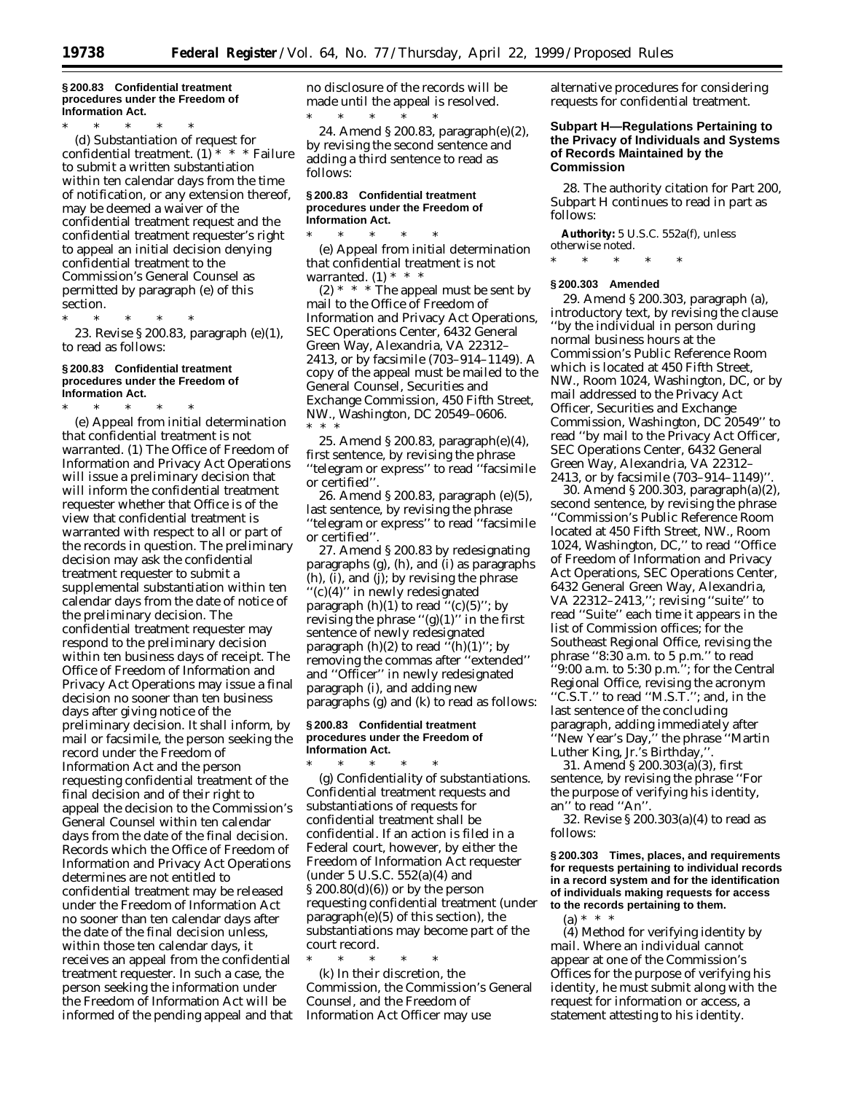#### **§ 200.83 Confidential treatment procedures under the Freedom of Information Act.**

\* \* \* \* \* (d) *Substantiation of request for confidential treatment.* (1) \* \* \* Failure to submit a written substantiation within ten calendar days from the time of notification, or any extension thereof, may be deemed a waiver of the confidential treatment request and the confidential treatment requester's right to appeal an initial decision denying confidential treatment to the Commission's General Counsel as permitted by paragraph (e) of this section.

\* \* \* \* \* 23. Revise § 200.83, paragraph (e)(1),

to read as follows:

# **§ 200.83 Confidential treatment procedures under the Freedom of Information Act.**

\* \* \* \* \* (e) *Appeal from initial determination that confidential treatment is not warranted.* (1) The Office of Freedom of Information and Privacy Act Operations will issue a preliminary decision that will inform the confidential treatment requester whether that Office is of the view that confidential treatment is warranted with respect to all or part of the records in question. The preliminary decision may ask the confidential treatment requester to submit a supplemental substantiation within ten calendar days from the date of notice of the preliminary decision. The confidential treatment requester may respond to the preliminary decision within ten business days of receipt. The Office of Freedom of Information and Privacy Act Operations may issue a final decision no sooner than ten business days after giving notice of the preliminary decision. It shall inform, by mail or facsimile, the person seeking the record under the Freedom of Information Act and the person requesting confidential treatment of the final decision and of their right to appeal the decision to the Commission's General Counsel within ten calendar days from the date of the final decision. Records which the Office of Freedom of Information and Privacy Act Operations determines are not entitled to confidential treatment may be released under the Freedom of Information Act no sooner than ten calendar days after the date of the final decision unless, within those ten calendar days, it receives an appeal from the confidential treatment requester. In such a case, the person seeking the information under the Freedom of Information Act will be informed of the pending appeal and that no disclosure of the records will be made until the appeal is resolved. \* \* \* \* \*

24. Amend § 200.83, paragraph(e)(2), by revising the second sentence and adding a third sentence to read as follows:

## **§ 200.83 Confidential treatment procedures under the Freedom of Information Act.**

\* \* \* \* \* (e) *Appeal from initial determination that confidential treatment is not warranted.* (1) \* \* \*

 $(2)$  \* \* \* The appeal must be sent by mail to the Office of Freedom of Information and Privacy Act Operations, SEC Operations Center, 6432 General Green Way, Alexandria, VA 22312– 2413, or by facsimile (703–914–1149). A copy of the appeal must be mailed to the General Counsel, Securities and Exchange Commission, 450 Fifth Street, NW., Washington, DC 20549–0606. \* \* \*

25. Amend § 200.83, paragraph(e)(4), first sentence, by revising the phrase ''telegram or express'' to read ''facsimile or certified''.

26. Amend § 200.83, paragraph (e)(5), last sentence, by revising the phrase ''telegram or express'' to read ''facsimile or certified''.

27. Amend § 200.83 by redesignating paragraphs (g), (h), and (i) as paragraphs (h), (i), and (j); by revising the phrase ''(c)(4)'' in newly redesignated paragraph  $(h)(1)$  to read " $(c)(5)$ "; by revising the phrase " $(g)(1)$ " in the first sentence of newly redesignated paragraph  $(h)(2)$  to read  $\cdot$ <sup>7</sup> $(h)(1)$ "; by removing the commas after ''extended'' and ''Officer'' in newly redesignated paragraph (i), and adding new paragraphs (g) and (k) to read as follows:

#### **§ 200.83 Confidential treatment procedures under the Freedom of Information Act.**

\* \* \* \* \* (g) *Confidentiality of substantiations.* Confidential treatment requests and substantiations of requests for confidential treatment shall be confidential. If an action is filed in a Federal court, however, by either the Freedom of Information Act requester (under 5 U.S.C. 552(a)(4) and § 200.80(d)(6)) or by the person requesting confidential treatment (under paragraph(e)(5) of this section), the substantiations may become part of the court record.

\* \* \* \* \* (k) In their discretion, the Commission, the Commission's General Counsel, and the Freedom of Information Act Officer may use

alternative procedures for considering requests for confidential treatment.

# **Subpart H—Regulations Pertaining to the Privacy of Individuals and Systems of Records Maintained by the Commission**

28. The authority citation for Part 200, Subpart H continues to read in part as follows:

**Authority:** 5 U.S.C. 552a(f), unless otherwise noted.

\* \* \* \* \*

## **§ 200.303 Amended**

29. Amend § 200.303, paragraph (a), introductory text, by revising the clause ''by the individual in person during normal business hours at the Commission's Public Reference Room which is located at 450 Fifth Street, NW., Room 1024, Washington, DC, or by mail addressed to the Privacy Act Officer, Securities and Exchange Commission, Washington, DC 20549'' to read ''by mail to the Privacy Act Officer, SEC Operations Center, 6432 General Green Way, Alexandria, VA 22312– 2413, or by facsimile (703–914–1149)''.

30. Amend § 200.303, paragraph(a)(2), second sentence, by revising the phrase ''Commission's Public Reference Room located at 450 Fifth Street, NW., Room 1024, Washington, DC,'' to read ''Office of Freedom of Information and Privacy Act Operations, SEC Operations Center, 6432 General Green Way, Alexandria, VA 22312–2413,''; revising ''suite'' to read ''Suite'' each time it appears in the list of Commission offices; for the Southeast Regional Office, revising the phrase ''8:30 a.m. to 5 p.m.'' to read ''9:00 a.m. to 5:30 p.m.''; for the Central Regional Office, revising the acronym ''C.S.T.'' to read ''M.S.T.''; and, in the last sentence of the concluding paragraph, adding immediately after ''New Year's Day,'' the phrase ''Martin Luther King, Jr.'s Birthday,''.

31. Amend § 200.303(a)(3), first sentence, by revising the phrase ''For the purpose of verifying his identity, an'' to read ''An''.

32. Revise § 200.303(a)(4) to read as follows:

**§ 200.303 Times, places, and requirements for requests pertaining to individual records in a record system and for the identification of individuals making requests for access to the records pertaining to them.**

(a) \* \* \*

(4) *Method for verifying identity by mail.* Where an individual cannot appear at one of the Commission's Offices for the purpose of verifying his identity, he must submit along with the request for information or access, a statement attesting to his identity.